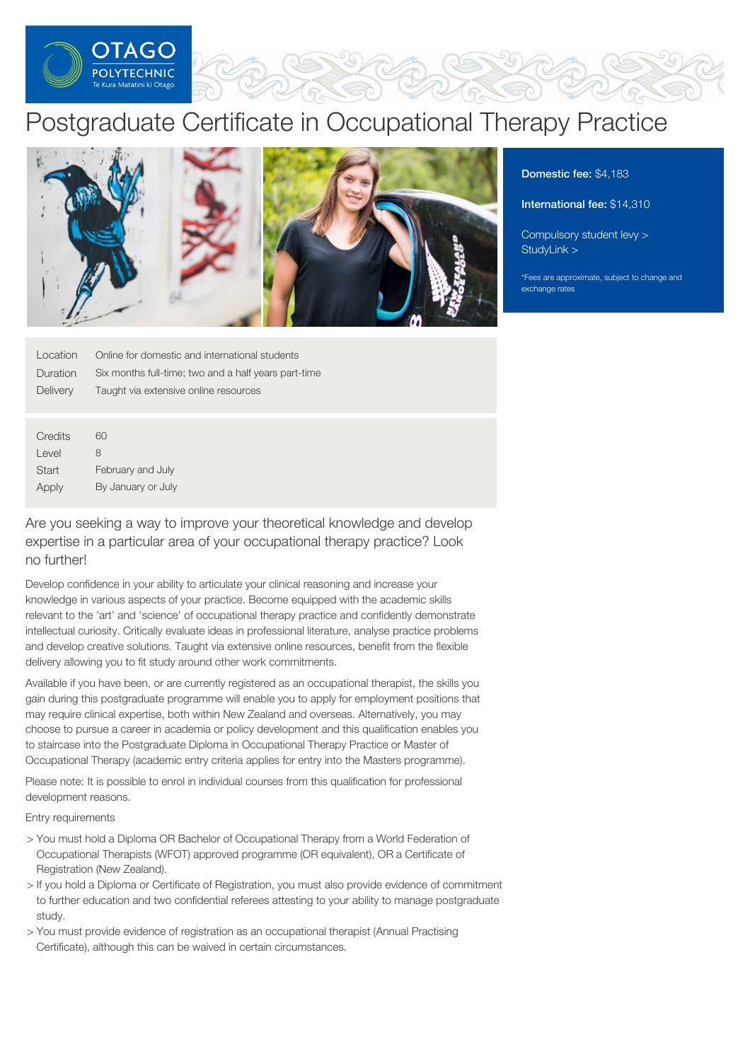

# Postgraduate Certificate in Occupational Therapy Practice



Domestic fee: \$4,183

International fee: \$14,310

[Compulsory](https://online.op.ac.nz/students/important-information/student-services-levy/) student levy > [StudyLink](https://www.studylink.govt.nz/) >

\*Fees are approximate, subject to change and exchange rates

| Location | Online for domestic and international students       |
|----------|------------------------------------------------------|
| Duration | Six months full-time; two and a half years part-time |
| Delivery | Taught via extensive online resources                |
|          |                                                      |
|          |                                                      |
| Credits  | 60                                                   |
| Level    | 8                                                    |
|          |                                                      |

February and July

Apply By January or July Are you seeking a way to improve your theoretical knowledge and develop expertise in a particular area of your occupational therapy practice? Look

no further!

**Start** 

Develop confidence in your ability to articulate your clinical reasoning and increase your knowledge in various aspects of your practice. Become equipped with the academic skills relevant to the 'art' and 'science' of occupational therapy practice and confidently demonstrate intellectual curiosity. Critically evaluate ideas in professional literature, analyse practice problems and develop creative solutions. Taught via extensive online resources, benefit from the flexible delivery allowing you to fit study around other work commitments.

Available if you have been, or are currently registered as an occupational therapist, the skills you gain during this postgraduate programme will enable you to apply for employment positions that may require clinical expertise, both within New Zealand and overseas. Alternatively, you may choose to pursue a career in academia or policy development and this qualification enables you to staircase into the Postgraduate Diploma in Occupational Therapy Practice or Master of Occupational Therapy (academic entry criteria applies for entry into the Masters programme).

Please note: It is possible to enrol in individual courses from this qualification for professional development reasons.

Entry requirements

- > You must hold a Diploma OR Bachelor of Occupational Therapy from a World Federation of Occupational Therapists (WFOT) approved programme (OR equivalent), OR a Certificate of Registration (New Zealand).
- > If you hold a Diploma or Certificate of Registration, you must also provide evidence of commitment to further education and two confidential referees attesting to your ability to manage postgraduate study.
- > You must provide evidence of registration as an occupational therapist (Annual Practising Certificate), although this can be waived in certain circumstances.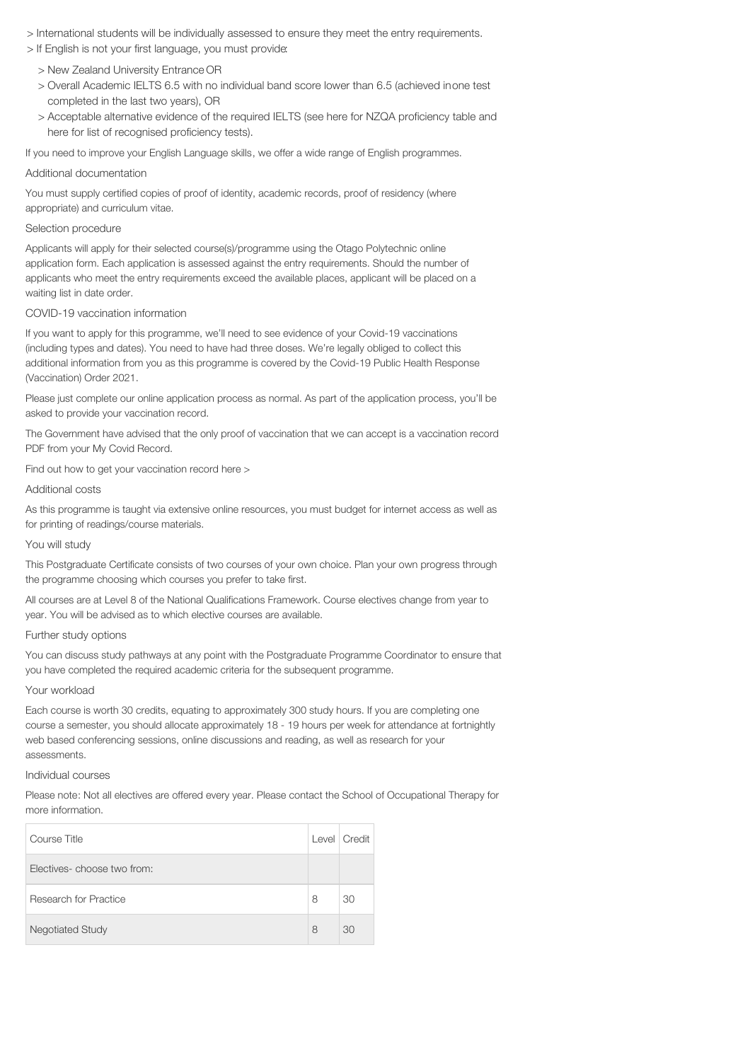- > International students will be individually assessed to ensure they meet the entry requirements.
- > If English is not your first language, you must provide:
	- > New Zealand University Entrance OR
	- > Overall Academic IELTS 6.5 with no individual band score lower than 6.5 (achieved inone test completed in the last two years), OR
	- > Acceptable alternative evidence of the required IELTS (see here for NZQA proficiency table and here for list of recognised proficiency tests).

If you need to improve your English Language skills, we offer a wide range of English programmes.

#### Additional documentation

You must supply certified copies of proof of identity, academic records, proof of residency (where appropriate) and curriculum vitae.

#### Selection procedure

Applicants will apply for their selected course(s)/programme using the Otago Polytechnic online application form. Each application is assessed against the entry requirements. Should the number of applicants who meet the entry requirements exceed the available places, applicant will be placed on a waiting list in date order.

## COVID-19 vaccination information

If you want to apply for this programme, we'll need to see evidence of your Covid-19 vaccinations (including types and dates). You need to have had three doses. We're legally obliged to collect this additional information from you as this programme is covered by the Covid-19 Public Health Response (Vaccination) Order 2021.

Please just complete our online application process as normal. As part of the application process, you'll be asked to provide your vaccination record.

The Government have advised that the only proof of vaccination that we can accept is a vaccination record PDF from your My Covid Record.

Find out how to get your vaccination record here >

# Additional costs

As this programme is taught via extensive online resources, you must budget for internet access as well as for printing of readings/course materials.

#### You will study

This Postgraduate Certificate consists of two courses of your own choice. Plan your own progress through the programme choosing which courses you prefer to take first.

All courses are at Level 8 of the National Qualifications Framework. Course electives change from year to year. You will be advised as to which elective courses are available.

## Further study options

You can discuss study pathways at any point with the Postgraduate Programme Coordinator to ensure that you have completed the required academic criteria for the subsequent programme.

## Your workload

Each course is worth 30 credits, equating to approximately 300 study hours. If you are completing one course a semester, you should allocate approximately 18 - 19 hours per week for attendance at fortnightly web based conferencing sessions, online discussions and reading, as well as research for your assessments.

### Individual courses

Please note: Not all electives are offered every year. Please contact the School of Occupational Therapy for more information.

| Course Title               |   | Level   Credit |
|----------------------------|---|----------------|
| Electives-choose two from: |   |                |
| Research for Practice      | 8 | 30             |
| <b>Negotiated Study</b>    | 8 | 30             |